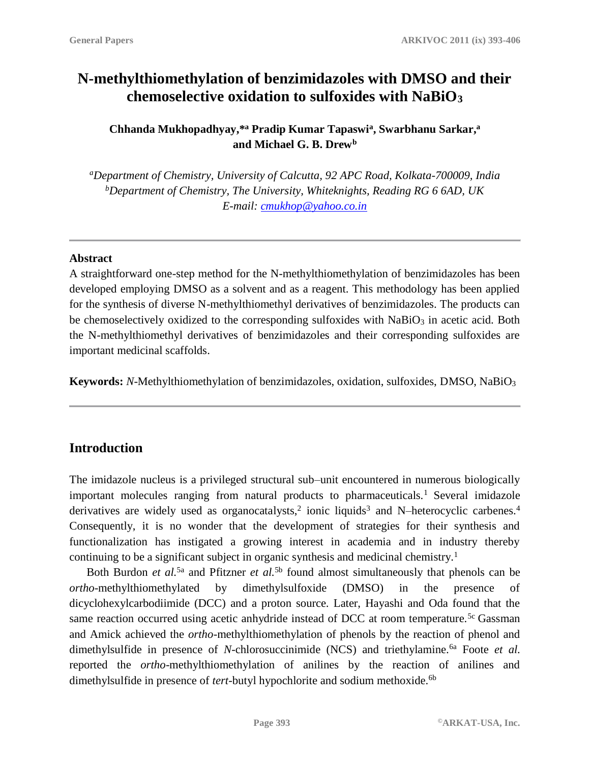# **N-methylthiomethylation of benzimidazoles with DMSO and their chemoselective oxidation to sulfoxides with NaBiO<sup>3</sup>**

**Chhanda Mukhopadhyay,\* <sup>a</sup> Pradip Kumar Tapaswi<sup>a</sup> , Swarbhanu Sarkar, a and Michael G. B. Drew<sup>b</sup>**

*<sup>a</sup>Department of Chemistry, University of Calcutta, 92 APC Road, Kolkata-700009, India <sup>b</sup>Department of Chemistry, The University, Whiteknights, Reading RG 6 6AD, UK E-mail: [cmukhop@yahoo.co.in](mailto:cmukhop@yahoo.co.in)*

#### **Abstract**

A straightforward one-step method for the N-methylthiomethylation of benzimidazoles has been developed employing DMSO as a solvent and as a reagent. This methodology has been applied for the synthesis of diverse N-methylthiomethyl derivatives of benzimidazoles. The products can be chemoselectively oxidized to the corresponding sulfoxides with  $NaBiO<sub>3</sub>$  in acetic acid. Both the N-methylthiomethyl derivatives of benzimidazoles and their corresponding sulfoxides are important medicinal scaffolds.

**Keywords:** *N*-Methylthiomethylation of benzimidazoles, oxidation, sulfoxides, DMSO, NaBiO<sup>3</sup>

# **Introduction**

The imidazole nucleus is a privileged structural sub–unit encountered in numerous biologically important molecules ranging from natural products to pharmaceuticals.<sup>1</sup> Several imidazole derivatives are widely used as organocatalysts,<sup>2</sup> ionic liquids<sup>3</sup> and N-heterocyclic carbenes.<sup>4</sup> Consequently, it is no wonder that the development of strategies for their synthesis and functionalization has instigated a growing interest in academia and in industry thereby continuing to be a significant subject in organic synthesis and medicinal chemistry.<sup>1</sup>

Both Burdon *et al.*5a and Pfitzner *et al.*5b found almost simultaneously that phenols can be *ortho*-methylthiomethylated by dimethylsulfoxide (DMSO) in the presence of dicyclohexylcarbodiimide (DCC) and a proton source. Later, Hayashi and Oda found that the same reaction occurred using acetic anhydride instead of DCC at room temperature.<sup>5c</sup> Gassman and Amick achieved the *ortho*-methylthiomethylation of phenols by the reaction of phenol and dimethylsulfide in presence of *N*-chlorosuccinimide (NCS) and triethylamine.<sup>6a</sup> Foote *et al.* reported the *ortho*-methylthiomethylation of anilines by the reaction of anilines and dimethylsulfide in presence of *tert*-butyl hypochlorite and sodium methoxide.<sup>6b</sup>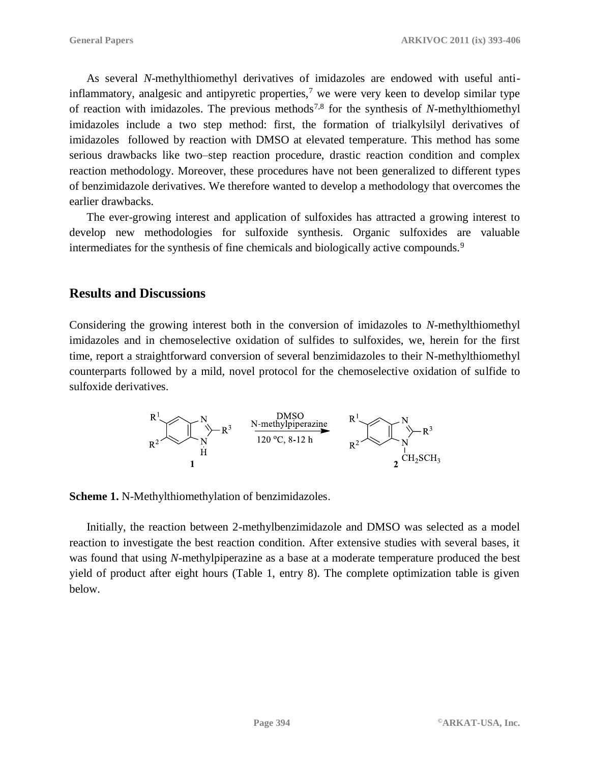As several *N*-methylthiomethyl derivatives of imidazoles are endowed with useful antiinflammatory, analgesic and antipyretic properties,<sup>7</sup> we were very keen to develop similar type of reaction with imidazoles. The previous methods7,8 for the synthesis of *N*-methylthiomethyl imidazoles include a two step method: first, the formation of trialkylsilyl derivatives of imidazoles followed by reaction with DMSO at elevated temperature. This method has some serious drawbacks like two–step reaction procedure, drastic reaction condition and complex reaction methodology. Moreover, these procedures have not been generalized to different types of benzimidazole derivatives. We therefore wanted to develop a methodology that overcomes the earlier drawbacks.

The ever-growing interest and application of sulfoxides has attracted a growing interest to develop new methodologies for sulfoxide synthesis. Organic sulfoxides are valuable intermediates for the synthesis of fine chemicals and biologically active compounds.<sup>9</sup>

## **Results and Discussions**

Considering the growing interest both in the conversion of imidazoles to *N*-methylthiomethyl imidazoles and in chemoselective oxidation of sulfides to sulfoxides, we, herein for the first time, report a straightforward conversion of several benzimidazoles to their N-methylthiomethyl counterparts followed by a mild, novel protocol for the chemoselective oxidation of sulfide to sulfoxide derivatives.

$$
\begin{array}{ccc}\nR^{1} & N & \text{DMSO} \\
\hline\nR^{2} & N & \text{N-methylpiperazine} \\
\downarrow R^{3} & H & \text{120 °C, 8-12 h} \\
1 & 1 & 2\text{CH}_{2}SCH_{3}\n\end{array}
$$

**Scheme 1.** N-Methylthiomethylation of benzimidazoles.

Initially, the reaction between 2-methylbenzimidazole and DMSO was selected as a model reaction to investigate the best reaction condition. After extensive studies with several bases, it was found that using *N*-methylpiperazine as a base at a moderate temperature produced the best yield of product after eight hours (Table 1, entry 8). The complete optimization table is given below.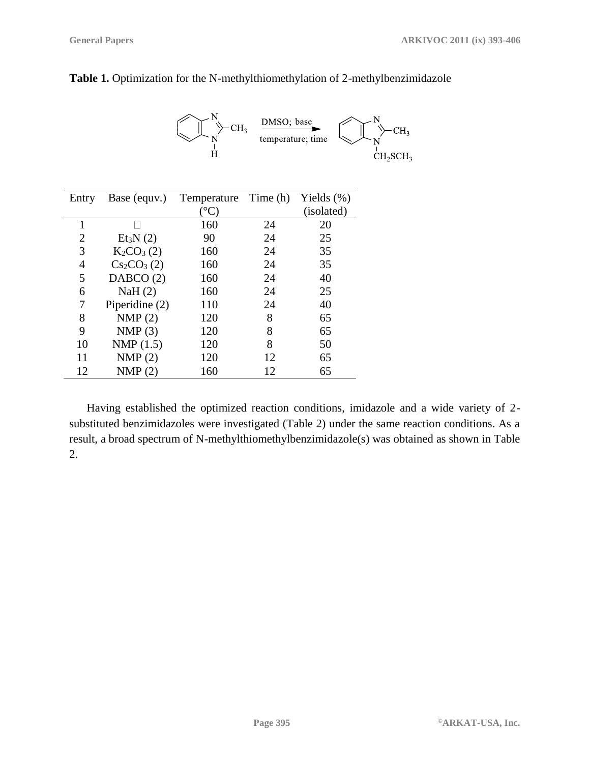

#### **Table 1.** Optimization for the N-methylthiomethylation of 2-methylbenzimidazole

| Entry          | Base (equv.)         | Temperature Time (h) |    | Yields $(\%)$ |
|----------------|----------------------|----------------------|----|---------------|
|                |                      |                      |    | (isolated)    |
| 1              |                      | 160                  | 24 | 20            |
| $\overline{2}$ | Et <sub>3</sub> N(2) | 90                   | 24 | 25            |
| 3              | $K_2CO_3(2)$         | 160                  | 24 | 35            |
| $\overline{4}$ | $Cs_2CO_3(2)$        | 160                  | 24 | 35            |
| 5              | DABCO(2)             | 160                  | 24 | 40            |
| 6              | NaH $(2)$            | 160                  | 24 | 25            |
| 7              | Piperidine (2)       | 110                  | 24 | 40            |
| 8              | NMP(2)               | 120                  | 8  | 65            |
| 9              | NMP(3)               | 120                  | 8  | 65            |
| 10             | NMP $(1.5)$          | 120                  | 8  | 50            |
| 11             | NMP(2)               | 120                  | 12 | 65            |
| 12             | NMP(2)               | 160                  | 12 | 65            |

Having established the optimized reaction conditions, imidazole and a wide variety of 2 substituted benzimidazoles were investigated (Table 2) under the same reaction conditions. As a result, a broad spectrum of N-methylthiomethylbenzimidazole(s) was obtained as shown in Table 2.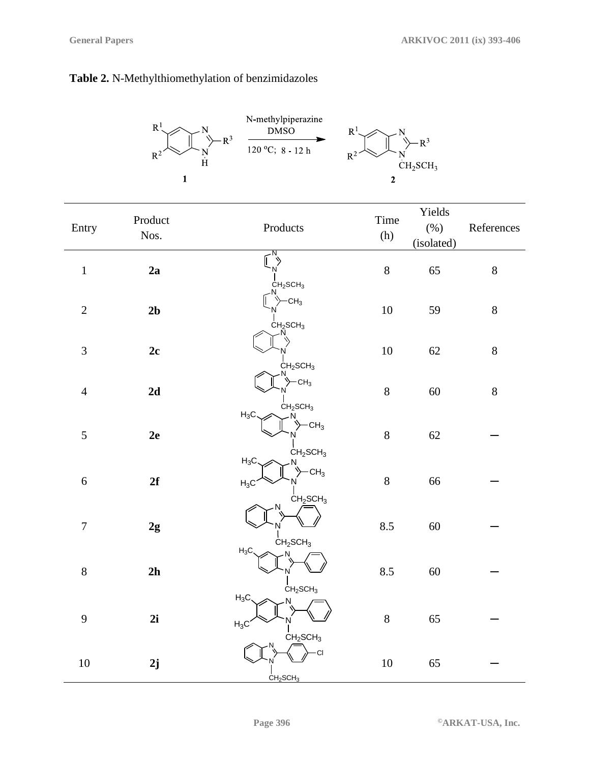## **Table 2.** N-Methylthiomethylation of benzimidazoles



| Entry          | Product<br>Nos. | Products                                                                | Time<br>(h) | Yields<br>$(\%)$<br>(isolated) | References |
|----------------|-----------------|-------------------------------------------------------------------------|-------------|--------------------------------|------------|
| $\mathbf 1$    | 2a              | $\overline{N}$<br>N<br>CH <sub>2</sub> SCH <sub>3</sub>                 | $8\,$       | 65                             | $8\,$      |
| $\sqrt{2}$     | 2 <sub>b</sub>  | $-CH_3$<br>CH <sub>2</sub> SCH <sub>3</sub>                             | 10          | 59                             | $8\,$      |
| 3              | 2c              | CH <sub>2</sub> SCH <sub>3</sub>                                        | 10          | 62                             | $8\,$      |
| $\overline{4}$ | 2d              | $-CH3$<br>CH <sub>2</sub> SCH <sub>3</sub>                              | $8\,$       | 60                             | $8\,$      |
| 5              | $2\mathrm{e}$   | $H_3C$<br>N<br>CH <sub>3</sub><br>CH <sub>2</sub> SCH <sub>3</sub>      | $8\,$       | 62                             |            |
| 6              | 2f              | $H_3C$<br>CH <sub>3</sub><br>$H_3C$<br>CH <sub>2</sub> SCH <sub>3</sub> | $8\,$       | 66                             |            |
| $\sqrt{ }$     | 2g              | CH <sub>2</sub> SCH <sub>3</sub>                                        | 8.5         | 60                             |            |
| 8              | 2h              | $H_3C$<br>CH <sub>2</sub> SCH <sub>3</sub>                              | 8.5         | 60                             |            |
| 9              | 2i              | $H_3C$<br>$H_3C$<br>CH <sub>2</sub> SCH <sub>3</sub>                    | $8\,$       | 65                             |            |
| 10             | 2j              | СI<br>CH <sub>2</sub> SCH <sub>3</sub>                                  | $10\,$      | 65                             |            |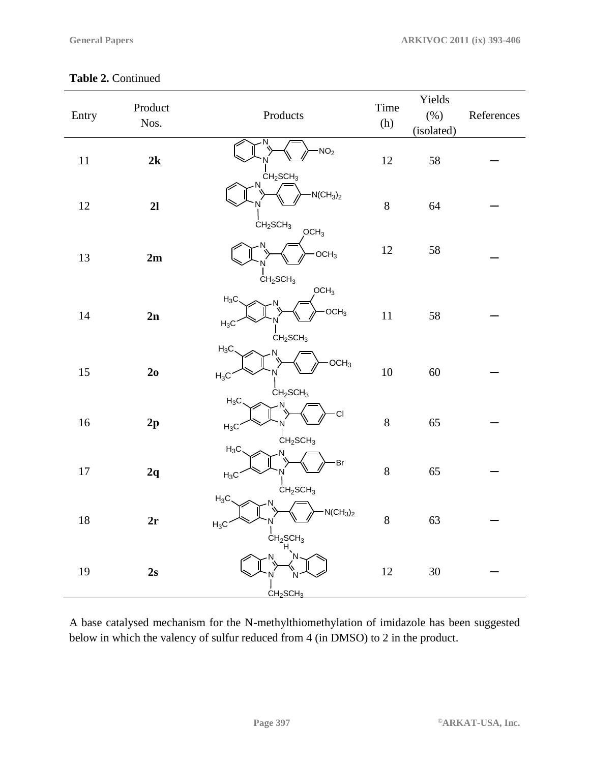| Entry  | Product<br>Nos. | Products                                                                                                      | Time<br>(h)      | Yields<br>$(\%)$<br>(isolated) | References |
|--------|-----------------|---------------------------------------------------------------------------------------------------------------|------------------|--------------------------------|------------|
| $11\,$ | 2k              | NO <sub>2</sub>                                                                                               | $12\,$           | 58                             |            |
| 12     | 2l              | CH <sub>2</sub> SCH <sub>3</sub><br>N<br>$-N(CH_3)_2$<br>CH <sub>2</sub> SCH <sub>3</sub><br>OCH <sub>3</sub> | $8\,$            | 64                             |            |
| 13     | 2m              | OCH <sub>3</sub><br>CH <sub>2</sub> SCH <sub>3</sub>                                                          | $12\,$           | 58                             |            |
| 14     | 2n              | OCH <sub>3</sub><br>$H_3C$<br>$-OCH3$<br>$H_3C$<br>CH <sub>2</sub> SCH <sub>3</sub>                           | 11               | 58                             |            |
| 15     | 2 <sub>0</sub>  | $H_3C$<br>OCH <sub>3</sub><br>$H_3C$<br>CH <sub>2</sub> SCH <sub>3</sub>                                      | $10\,$           | 60                             |            |
| 16     | 2p              | $H_3C$<br><b>CI</b><br>$H_3C$<br>CH <sub>2</sub> SCH <sub>3</sub>                                             | $8\,$            | 65                             |            |
| $17\,$ | 2q              | $H_3C$<br>Br<br>$H_3C$<br>CH <sub>2</sub> SCH <sub>3</sub>                                                    | $\boldsymbol{8}$ | 65                             |            |
| 18     | 2r              | $H_3C$<br>$-N(CH_3)_2$<br>$H_3C$<br>CH <sub>2</sub> SCH <sub>3</sub>                                          | $\,8\,$          | 63                             |            |
| 19     | 2s              | N<br>CH <sub>2</sub> SCH <sub>3</sub>                                                                         | 12               | 30                             |            |

A base catalysed mechanism for the N-methylthiomethylation of imidazole has been suggested below in which the valency of sulfur reduced from 4 (in DMSO) to 2 in the product.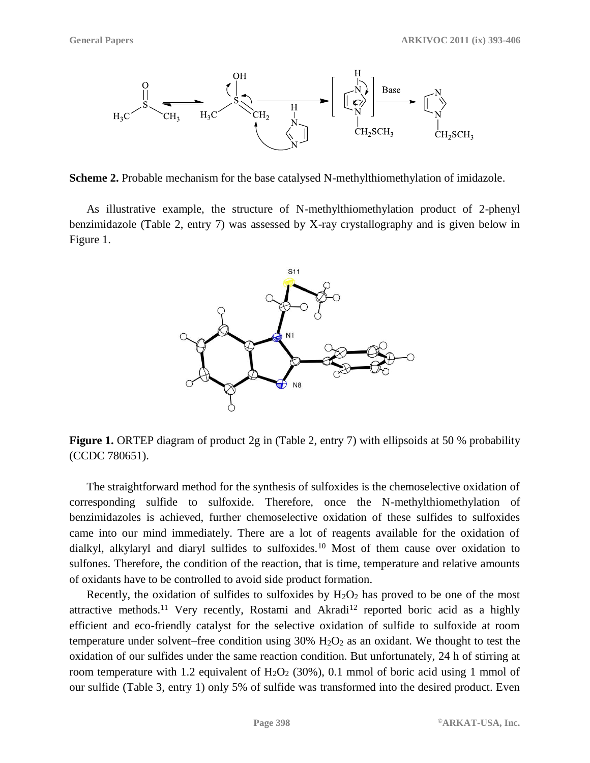

**Scheme 2.** Probable mechanism for the base catalysed N-methylthiomethylation of imidazole.

As illustrative example, the structure of N-methylthiomethylation product of 2-phenyl benzimidazole (Table 2, entry 7) was assessed by X-ray crystallography and is given below in Figure 1.



**Figure 1.** ORTEP diagram of product 2g in (Table 2, entry 7) with ellipsoids at 50 % probability (CCDC 780651).

The straightforward method for the synthesis of sulfoxides is the chemoselective oxidation of corresponding sulfide to sulfoxide. Therefore, once the N-methylthiomethylation of benzimidazoles is achieved, further chemoselective oxidation of these sulfides to sulfoxides came into our mind immediately. There are a lot of reagents available for the oxidation of dialkyl, alkylaryl and diaryl sulfides to sulfoxides.<sup>10</sup> Most of them cause over oxidation to sulfones. Therefore, the condition of the reaction, that is time, temperature and relative amounts of oxidants have to be controlled to avoid side product formation.

Recently, the oxidation of sulfides to sulfoxides by  $H_2O_2$  has proved to be one of the most attractive methods.<sup>11</sup> Very recently, Rostami and Akradi<sup>12</sup> reported boric acid as a highly efficient and eco-friendly catalyst for the selective oxidation of sulfide to sulfoxide at room temperature under solvent–free condition using  $30\%$  H<sub>2</sub>O<sub>2</sub> as an oxidant. We thought to test the oxidation of our sulfides under the same reaction condition. But unfortunately, 24 h of stirring at room temperature with 1.2 equivalent of  $H_2O_2$  (30%), 0.1 mmol of boric acid using 1 mmol of our sulfide (Table 3, entry 1) only 5% of sulfide was transformed into the desired product. Even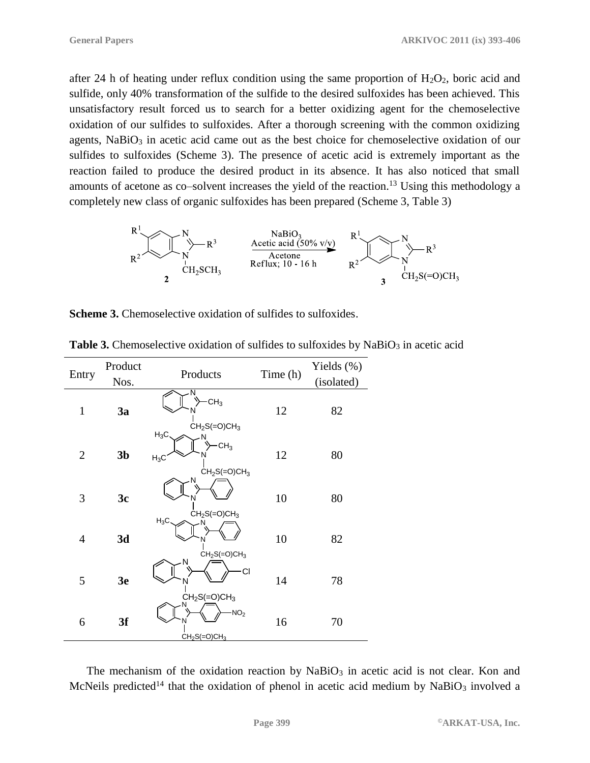after 24 h of heating under reflux condition using the same proportion of  $H_2O_2$ , boric acid and sulfide, only 40% transformation of the sulfide to the desired sulfoxides has been achieved. This unsatisfactory result forced us to search for a better oxidizing agent for the chemoselective oxidation of our sulfides to sulfoxides. After a thorough screening with the common oxidizing agents,  $NaBiO<sub>3</sub>$  in acetic acid came out as the best choice for chemoselective oxidation of our sulfides to sulfoxides (Scheme 3). The presence of acetic acid is extremely important as the reaction failed to produce the desired product in its absence. It has also noticed that small amounts of acetone as co–solvent increases the yield of the reaction.<sup>13</sup> Using this methodology a completely new class of organic sulfoxides has been prepared (Scheme 3, Table 3)



**Scheme 3.** Chemoselective oxidation of sulfides to sulfoxides.

| Entry        | Product        | Products                                                         | Time (h) | Yields $(\%)$ |
|--------------|----------------|------------------------------------------------------------------|----------|---------------|
|              | Nos.           |                                                                  |          | (isolated)    |
| $\mathbf{1}$ | 3a             | N<br>CH <sub>3</sub><br>N<br>$CH2S(=O)CH3$                       | 12       | 82            |
| $\mathbf{2}$ | 3 <sub>b</sub> | $H_3C$ .<br>N<br>CH <sub>3</sub><br>N<br>$H_3C$<br>$CH2S(=O)CH3$ | 12       | 80            |
| 3            | 3c             | N<br>N<br>$CH2S(=O)CH3$                                          | 10       | 80            |
| 4            | 3d             | $H_3C$<br>$CH2S(=O)CH3$                                          | 10       | 82            |
| 5            | 3e             | N<br>CI<br>N<br>$CH2S(=O)CH3$                                    | 14       | 78            |
| 6            | 3f             | NO <sub>2</sub><br>N<br>$CH2S(=O)CH3$                            | 16       | 70            |

**Table 3.** Chemoselective oxidation of sulfides to sulfoxides by NaBiO<sub>3</sub> in acetic acid

The mechanism of the oxidation reaction by  $NaBiO<sub>3</sub>$  in acetic acid is not clear. Kon and McNeils predicted<sup>14</sup> that the oxidation of phenol in acetic acid medium by NaBiO<sub>3</sub> involved a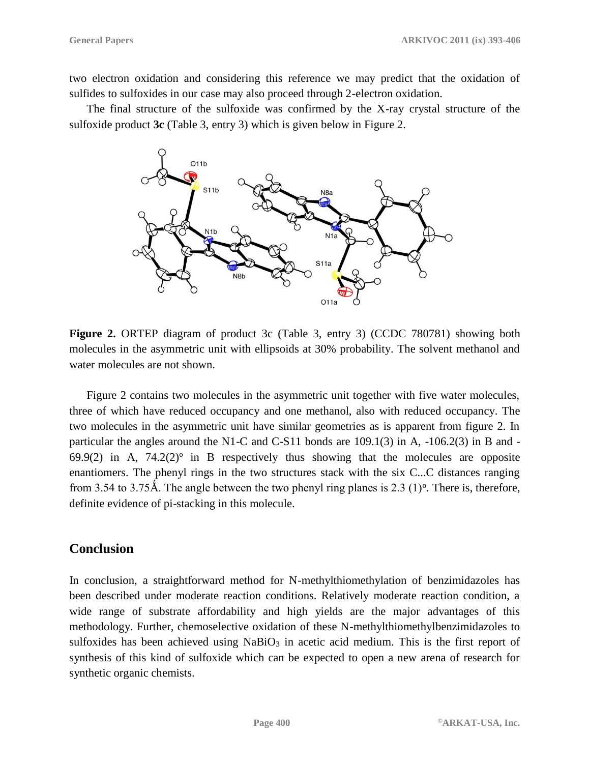two electron oxidation and considering this reference we may predict that the oxidation of sulfides to sulfoxides in our case may also proceed through 2-electron oxidation.

The final structure of the sulfoxide was confirmed by the X-ray crystal structure of the sulfoxide product **3c** (Table 3, entry 3) which is given below in Figure 2.



**Figure 2.** ORTEP diagram of product 3c (Table 3, entry 3) (CCDC 780781) showing both molecules in the asymmetric unit with ellipsoids at 30% probability. The solvent methanol and water molecules are not shown.

Figure 2 contains two molecules in the asymmetric unit together with five water molecules, three of which have reduced occupancy and one methanol, also with reduced occupancy. The two molecules in the asymmetric unit have similar geometries as is apparent from figure 2. In particular the angles around the N1-C and C-S11 bonds are 109.1(3) in A, -106.2(3) in B and -  $69.9(2)$  in A,  $74.2(2)$ <sup>o</sup> in B respectively thus showing that the molecules are opposite enantiomers. The phenyl rings in the two structures stack with the six C...C distances ranging from 3.54 to 3.75Å. The angle between the two phenyl ring planes is  $2.3$  (1)<sup>o</sup>. There is, therefore, definite evidence of pi-stacking in this molecule.

#### **Conclusion**

In conclusion, a straightforward method for N-methylthiomethylation of benzimidazoles has been described under moderate reaction conditions. Relatively moderate reaction condition, a wide range of substrate affordability and high yields are the major advantages of this methodology. Further, chemoselective oxidation of these N-methylthiomethylbenzimidazoles to sulfoxides has been achieved using  $NaBiO<sub>3</sub>$  in acetic acid medium. This is the first report of synthesis of this kind of sulfoxide which can be expected to open a new arena of research for synthetic organic chemists.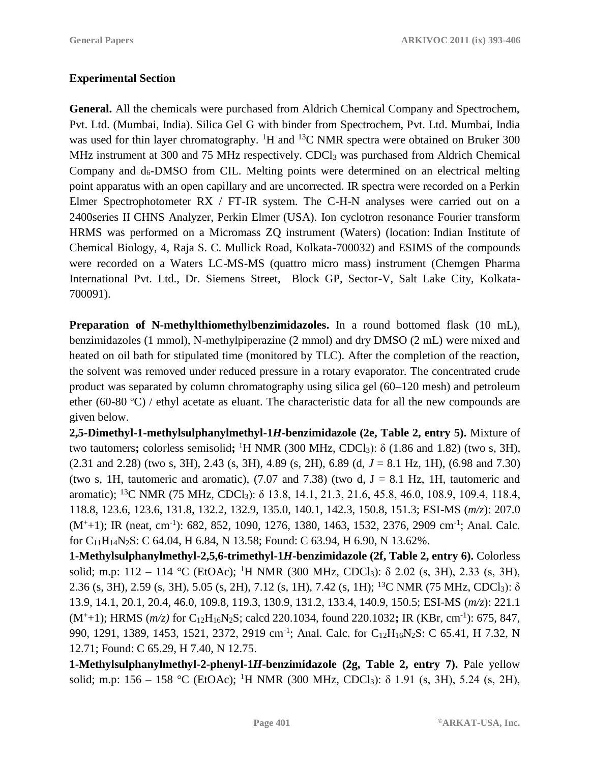#### **Experimental Section**

**General.** All the chemicals were purchased from Aldrich Chemical Company and Spectrochem, Pvt. Ltd. (Mumbai, India). Silica Gel G with binder from Spectrochem, Pvt. Ltd. Mumbai, India was used for thin layer chromatography. <sup>1</sup>H and <sup>13</sup>C NMR spectra were obtained on Bruker 300 MHz instrument at 300 and 75 MHz respectively. CDCl<sub>3</sub> was purchased from Aldrich Chemical Company and  $d_6$ -DMSO from CIL. Melting points were determined on an electrical melting point apparatus with an open capillary and are uncorrected. IR spectra were recorded on a Perkin Elmer Spectrophotometer RX / FT-IR system. The C-H-N analyses were carried out on a 2400series II CHNS Analyzer, Perkin Elmer (USA). Ion cyclotron resonance Fourier transform HRMS was performed on a Micromass ZQ instrument (Waters) (location: Indian Institute of Chemical Biology, 4, Raja S. C. Mullick Road, Kolkata-700032) and ESIMS of the compounds were recorded on a Waters LC-MS-MS (quattro micro mass) instrument (Chemgen Pharma International Pvt. Ltd., Dr. Siemens Street, Block GP, Sector-V, Salt Lake City, Kolkata-700091).

**Preparation of N-methylthiomethylbenzimidazoles.** In a round bottomed flask (10 mL), benzimidazoles (1 mmol), N-methylpiperazine (2 mmol) and dry DMSO (2 mL) were mixed and heated on oil bath for stipulated time (monitored by TLC). After the completion of the reaction, the solvent was removed under reduced pressure in a rotary evaporator. The concentrated crude product was separated by column chromatography using silica gel (60–120 mesh) and petroleum ether (60-80 ºC) / ethyl acetate as eluant. The characteristic data for all the new compounds are given below.

**2,5-Dimethyl-1-methylsulphanylmethyl-1***H***-benzimidazole (2e, Table 2, entry 5).** Mixture of two tautomers**;** colorless semisolid**;** <sup>1</sup>H NMR (300 MHz, CDCl3): δ (1.86 and 1.82) (two s, 3H), (2.31 and 2.28) (two s, 3H), 2.43 (s, 3H), 4.89 (s, 2H), 6.89 (d, *J* = 8.1 Hz, 1H), (6.98 and 7.30) (two s, 1H, tautomeric and aromatic), (7.07 and 7.38) (two d,  $J = 8.1$  Hz, 1H, tautomeric and aromatic); <sup>13</sup>C NMR (75 MHz, CDCl<sub>3</sub>): δ 13.8, 14.1, 21.3, 21.6, 45.8, 46.0, 108.9, 109.4, 118.4, 118.8, 123.6, 123.6, 131.8, 132.2, 132.9, 135.0, 140.1, 142.3, 150.8, 151.3; ESI-MS (*m/z*): 207.0  $(M^+ + 1)$ ; IR (neat, cm<sup>-1</sup>): 682, 852, 1090, 1276, 1380, 1463, 1532, 2376, 2909 cm<sup>-1</sup>; Anal. Calc. for C11H14N2S: C 64.04, H 6.84, N 13.58; Found: C 63.94, H 6.90, N 13.62%.

**1-Methylsulphanylmethyl-2,5,6-trimethyl-1***H***-benzimidazole (2f, Table 2, entry 6).** Colorless solid; m.p:  $112 - 114$  °C (EtOAc); <sup>1</sup>H NMR (300 MHz, CDCl<sub>3</sub>):  $\delta$  2.02 (s, 3H), 2.33 (s, 3H), 2.36 (s, 3H), 2.59 (s, 3H), 5.05 (s, 2H), 7.12 (s, 1H), 7.42 (s, 1H); <sup>13</sup>C NMR (75 MHz, CDCl3): δ 13.9, 14.1, 20.1, 20.4, 46.0, 109.8, 119.3, 130.9, 131.2, 133.4, 140.9, 150.5; ESI-MS (*m/z*): 221.1 (M<sup>+</sup>+1); HRMS (*m/z)* for C12H16N2S; calcd 220.1034, found 220.1032**;** IR (KBr, cm-1 ): 675, 847, 990, 1291, 1389, 1453, 1521, 2372, 2919 cm<sup>-1</sup>; Anal. Calc. for C<sub>12</sub>H<sub>16</sub>N<sub>2</sub>S: C 65.41, H 7.32, N 12.71; Found: C 65.29, H 7.40, N 12.75.

**1-Methylsulphanylmethyl-2-phenyl-1***H***-benzimidazole (2g, Table 2, entry 7).** Pale yellow solid; m.p:  $156 - 158$  °C (EtOAc); <sup>1</sup>H NMR (300 MHz, CDCl<sub>3</sub>):  $\delta$  1.91 (s, 3H), 5.24 (s, 2H),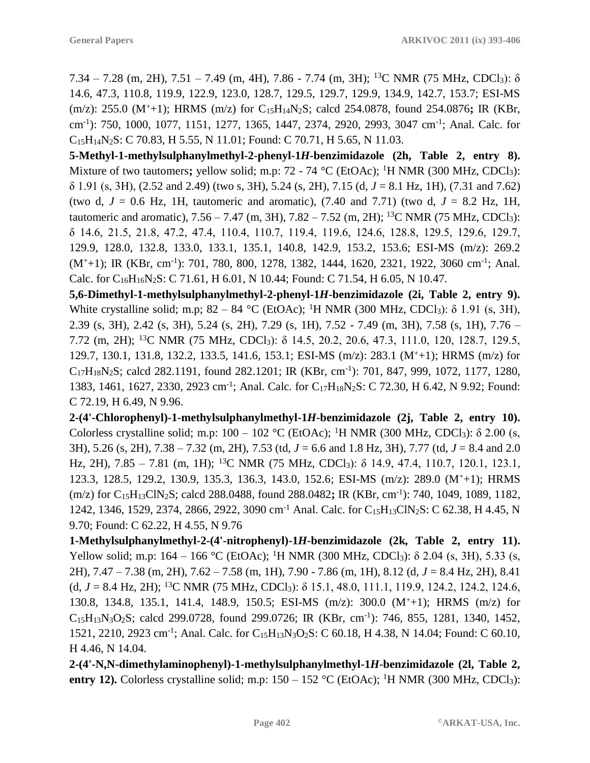7.34 – 7.28 (m, 2H), 7.51 – 7.49 (m, 4H), 7.86 - 7.74 (m, 3H); <sup>13</sup>C NMR (75 MHz, CDCl<sub>3</sub>):  $\delta$ 14.6, 47.3, 110.8, 119.9, 122.9, 123.0, 128.7, 129.5, 129.7, 129.9, 134.9, 142.7, 153.7; ESI-MS (m/z): 255.0 (M<sup>+</sup>+1); HRMS (m/z) for C15H14N2S; calcd 254.0878, found 254.0876**;** IR (KBr, cm-1 ): 750, 1000, 1077, 1151, 1277, 1365, 1447, 2374, 2920, 2993, 3047 cm-1 ; Anal. Calc. for C15H14N2S: C 70.83, H 5.55, N 11.01; Found: C 70.71, H 5.65, N 11.03.

**5-Methyl-1-methylsulphanylmethyl-2-phenyl-1***H***-benzimidazole (2h, Table 2, entry 8).** Mixture of two tautomers; yellow solid; m.p: 72 - 74 °C (EtOAc); <sup>1</sup>H NMR (300 MHz, CDCl<sub>3</sub>): δ 1.91 (s, 3H), (2.52 and 2.49) (two s, 3H), 5.24 (s, 2H), 7.15 (d, *J* = 8.1 Hz, 1H), (7.31 and 7.62) (two d,  $J = 0.6$  Hz, 1H, tautomeric and aromatic),  $(7.40$  and  $7.71)$  (two d,  $J = 8.2$  Hz, 1H, tautomeric and aromatic),  $7.56 - 7.47$  (m,  $3H$ ),  $7.82 - 7.52$  (m,  $2H$ ); <sup>13</sup>C NMR (75 MHz, CDCl<sub>3</sub>): δ 14.6, 21.5, 21.8, 47.2, 47.4, 110.4, 110.7, 119.4, 119.6, 124.6, 128.8, 129.5, 129.6, 129.7, 129.9, 128.0, 132.8, 133.0, 133.1, 135.1, 140.8, 142.9, 153.2, 153.6; ESI-MS (m/z): 269.2  $(M^+ + 1)$ ; IR (KBr, cm<sup>-1</sup>): 701, 780, 800, 1278, 1382, 1444, 1620, 2321, 1922, 3060 cm<sup>-1</sup>; Anal. Calc. for  $C_{16}H_{16}N_2S$ : C 71.61, H 6.01, N 10.44; Found: C 71.54, H 6.05, N 10.47.

**5,6-Dimethyl-1-methylsulphanylmethyl-2-phenyl-1***H***-benzimidazole (2i, Table 2, entry 9).** White crystalline solid; m.p;  $82 - 84$  °C (EtOAc); <sup>1</sup>H NMR (300 MHz, CDCl<sub>3</sub>):  $\delta$  1.91 (s, 3H), 2.39 (s, 3H), 2.42 (s, 3H), 5.24 (s, 2H), 7.29 (s, 1H), 7.52 - 7.49 (m, 3H), 7.58 (s, 1H), 7.76 – 7.72 (m, 2H); <sup>13</sup>C NMR (75 MHz, CDCl3): δ 14.5, 20.2, 20.6, 47.3, 111.0, 120, 128.7, 129.5, 129.7, 130.1, 131.8, 132.2, 133.5, 141.6, 153.1; ESI-MS (m/z): 283.1 (M<sup>+</sup>+1); HRMS (m/z) for  $C_{17}H_{18}N_2S$ ; calcd 282.1191, found 282.1201; IR (KBr, cm<sup>-1</sup>): 701, 847, 999, 1072, 1177, 1280, 1383, 1461, 1627, 2330, 2923 cm<sup>-1</sup>; Anal. Calc. for C<sub>17</sub>H<sub>18</sub>N<sub>2</sub>S: C 72.30, H 6.42, N 9.92; Found: C 72.19, H 6.49, N 9.96.

**2-(4'-Chlorophenyl)-1-methylsulphanylmethyl-1***H***-benzimidazole (2j, Table 2, entry 10).** Colorless crystalline solid; m.p:  $100 - 102$  °C (EtOAc); <sup>1</sup>H NMR (300 MHz, CDCl<sub>3</sub>):  $\delta$  2.00 (s, 3H), 5.26 (s, 2H), 7.38 – 7.32 (m, 2H), 7.53 (td, *J* = 6.6 and 1.8 Hz, 3H), 7.77 (td, *J* = 8.4 and 2.0 Hz, 2H), 7.85 – 7.81 (m, 1H); <sup>13</sup>C NMR (75 MHz, CDCl3): δ 14.9, 47.4, 110.7, 120.1, 123.1, 123.3, 128.5, 129.2, 130.9, 135.3, 136.3, 143.0, 152.6; ESI-MS (m/z): 289.0 (M<sup>+</sup>+1); HRMS (m/z) for C15H13ClN2S; calcd 288.0488, found 288.0482**;** IR (KBr, cm-1 ): 740, 1049, 1089, 1182, 1242, 1346, 1529, 2374, 2866, 2922, 3090 cm<sup>-1</sup> Anal. Calc. for C<sub>15</sub>H<sub>13</sub>ClN<sub>2</sub>S: C 62.38, H 4.45, N 9.70; Found: C 62.22, H 4.55, N 9.76

**1-Methylsulphanylmethyl-2-(4'-nitrophenyl)-1***H***-benzimidazole (2k, Table 2, entry 11).** Yellow solid; m.p: 164 – 166 °C (EtOAc); <sup>1</sup>H NMR (300 MHz, CDCl<sub>3</sub>): δ 2.04 (s, 3H), 5.33 (s, 2H), 7.47 – 7.38 (m, 2H), 7.62 – 7.58 (m, 1H), 7.90 - 7.86 (m, 1H), 8.12 (d, *J* = 8.4 Hz, 2H), 8.41  $(d, J = 8.4 \text{ Hz}, 2\text{H})$ ; <sup>13</sup>C NMR (75 MHz, CDCl<sub>3</sub>):  $\delta$  15.1, 48.0, 111.1, 119.9, 124.2, 124.2, 124.6, 130.8, 134.8, 135.1, 141.4, 148.9, 150.5; ESI-MS (m/z): 300.0 (M<sup>+</sup>+1); HRMS (m/z) for C<sub>15</sub>H<sub>13</sub>N<sub>3</sub>O<sub>2</sub>S; calcd 299.0728, found 299.0726; IR (KBr, cm<sup>-1</sup>): 746, 855, 1281, 1340, 1452, 1521, 2210, 2923 cm<sup>-1</sup>; Anal. Calc. for C<sub>15</sub>H<sub>13</sub>N<sub>3</sub>O<sub>2</sub>S: C 60.18, H 4.38, N 14.04; Found: C 60.10, H 4.46, N 14.04.

**2-(4'-N,N-dimethylaminophenyl)-1-methylsulphanylmethyl-1***H***-benzimidazole (2l, Table 2, entry 12).** Colorless crystalline solid; m.p:  $150 - 152$  °C (EtOAc); <sup>1</sup>H NMR (300 MHz, CDCl<sub>3</sub>):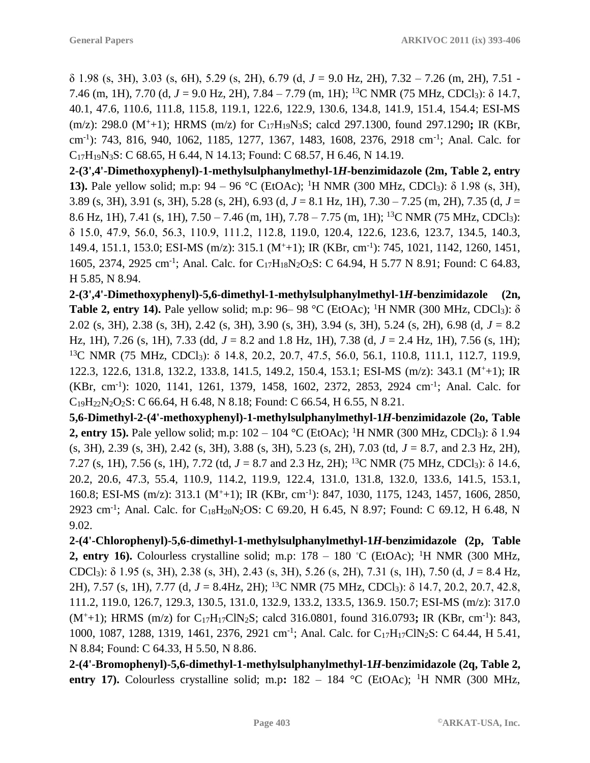δ 1.98 (s, 3H), 3.03 (s, 6H), 5.29 (s, 2H), 6.79 (d, *J* = 9.0 Hz, 2H), 7.32 – 7.26 (m, 2H), 7.51 - 7.46 (m, 1H), 7.70 (d, *J* = 9.0 Hz, 2H), 7.84 – 7.79 (m, 1H); <sup>13</sup>C NMR (75 MHz, CDCl3): δ 14.7, 40.1, 47.6, 110.6, 111.8, 115.8, 119.1, 122.6, 122.9, 130.6, 134.8, 141.9, 151.4, 154.4; ESI-MS (m/z): 298.0 (M<sup>+</sup>+1); HRMS (m/z) for C17H19N3S; calcd 297.1300, found 297.1290**;** IR (KBr, cm-1 ): 743, 816, 940, 1062, 1185, 1277, 1367, 1483, 1608, 2376, 2918 cm-1 ; Anal. Calc. for C17H19N3S: C 68.65, H 6.44, N 14.13; Found: C 68.57, H 6.46, N 14.19.

**2-(3',4'-Dimethoxyphenyl)-1-methylsulphanylmethyl-1***H***-benzimidazole (2m, Table 2, entry 13).** Pale yellow solid; m.p:  $94 - 96$  °C (EtOAc); <sup>1</sup>H NMR (300 MHz, CDCl<sub>3</sub>):  $\delta$  1.98 (s, 3H), 3.89 (s, 3H), 3.91 (s, 3H), 5.28 (s, 2H), 6.93 (d, *J* = 8.1 Hz, 1H), 7.30 – 7.25 (m, 2H), 7.35 (d, *J* = 8.6 Hz, 1H), 7.41 (s, 1H), 7.50 – 7.46 (m, 1H), 7.78 – 7.75 (m, 1H); <sup>13</sup>C NMR (75 MHz, CDCl3): δ 15.0, 47.9, 56.0, 56.3, 110.9, 111.2, 112.8, 119.0, 120.4, 122.6, 123.6, 123.7, 134.5, 140.3, 149.4, 151.1, 153.0; ESI-MS (m/z): 315.1 (M<sup>+</sup>+1); IR (KBr, cm-1 ): 745, 1021, 1142, 1260, 1451, 1605, 2374, 2925 cm<sup>-1</sup>; Anal. Calc. for C<sub>17</sub>H<sub>18</sub>N<sub>2</sub>O<sub>2</sub>S: C 64.94, H 5.77 N 8.91; Found: C 64.83, H 5.85, N 8.94.

**2-(3',4'-Dimethoxyphenyl)-5,6-dimethyl-1-methylsulphanylmethyl-1***H***-benzimidazole (2n, Table 2, entry 14).** Pale yellow solid; m.p:  $96-98$  °C (EtOAc); <sup>1</sup>H NMR (300 MHz, CDCl<sub>3</sub>):  $\delta$ 2.02 (s, 3H), 2.38 (s, 3H), 2.42 (s, 3H), 3.90 (s, 3H), 3.94 (s, 3H), 5.24 (s, 2H), 6.98 (d, *J* = 8.2 Hz, 1H), 7.26 (s, 1H), 7.33 (dd, *J* = 8.2 and 1.8 Hz, 1H), 7.38 (d, *J* = 2.4 Hz, 1H), 7.56 (s, 1H); <sup>13</sup>C NMR (75 MHz, CDCl<sub>3</sub>): δ 14.8, 20.2, 20.7, 47.5, 56.0, 56.1, 110.8, 111.1, 112.7, 119.9, 122.3, 122.6, 131.8, 132.2, 133.8, 141.5, 149.2, 150.4, 153.1; ESI-MS (m/z): 343.1 (M<sup>+</sup>+1); IR (KBr, cm<sup>-1</sup>): 1020, 1141, 1261, 1379, 1458, 1602, 2372, 2853, 2924 cm<sup>-1</sup>; Anal. Calc. for  $C_{19}H_{22}N_2O_2S$ : C 66.64, H 6.48, N 8.18; Found: C 66.54, H 6.55, N 8.21.

**5,6-Dimethyl-2-(4'-methoxyphenyl)-1-methylsulphanylmethyl-1***H***-benzimidazole (2o, Table 2, entry 15).** Pale yellow solid; m.p:  $102 - 104$  °C (EtOAc); <sup>1</sup>H NMR (300 MHz, CDCl<sub>3</sub>):  $\delta$  1.94 (s, 3H), 2.39 (s, 3H), 2.42 (s, 3H), 3.88 (s, 3H), 5.23 (s, 2H), 7.03 (td, *J* = 8.7, and 2.3 Hz, 2H), 7.27 (s, 1H), 7.56 (s, 1H), 7.72 (td, *J* = 8.7 and 2.3 Hz, 2H); <sup>13</sup>C NMR (75 MHz, CDCl3): δ 14.6, 20.2, 20.6, 47.3, 55.4, 110.9, 114.2, 119.9, 122.4, 131.0, 131.8, 132.0, 133.6, 141.5, 153.1, 160.8; ESI-MS (m/z): 313.1 (M<sup>+</sup>+1); IR (KBr, cm-1 ): 847, 1030, 1175, 1243, 1457, 1606, 2850, 2923 cm<sup>-1</sup>; Anal. Calc. for C<sub>18</sub>H<sub>20</sub>N<sub>2</sub>OS: C 69.20, H 6.45, N 8.97; Found: C 69.12, H 6.48, N 9.02.

**2-(4'-Chlorophenyl)-5,6-dimethyl-1-methylsulphanylmethyl-1***H***-benzimidazole (2p, Table 2, entry 16).** Colourless crystalline solid; m.p:  $178 - 180$  °C (EtOAc); <sup>1</sup>H NMR (300 MHz, CDCl3): δ 1.95 (s, 3H), 2.38 (s, 3H), 2.43 (s, 3H), 5.26 (s, 2H), 7.31 (s, 1H), 7.50 (d, *J* = 8.4 Hz, 2H), 7.57 (s, 1H), 7.77 (d, *J* = 8.4Hz, 2H); <sup>13</sup>C NMR (75 MHz, CDCl3): δ 14.7, 20.2, 20.7, 42.8, 111.2, 119.0, 126.7, 129.3, 130.5, 131.0, 132.9, 133.2, 133.5, 136.9. 150.7; ESI-MS (m/z): 317.0 (M<sup>+</sup>+1); HRMS (m/z) for C17H17ClN2S; calcd 316.0801, found 316.0793**;** IR (KBr, cm-1 ): 843, 1000, 1087, 1288, 1319, 1461, 2376, 2921 cm<sup>-1</sup>; Anal. Calc. for C<sub>17</sub>H<sub>17</sub>ClN<sub>2</sub>S: C 64.44, H 5.41, N 8.84; Found: C 64.33, H 5.50, N 8.86.

**2-(4'-Bromophenyl)-5,6-dimethyl-1-methylsulphanylmethyl-1***H***-benzimidazole (2q, Table 2, entry 17).** Colourless crystalline solid; m.p:  $182 - 184$  °C (EtOAc); <sup>1</sup>H NMR (300 MHz,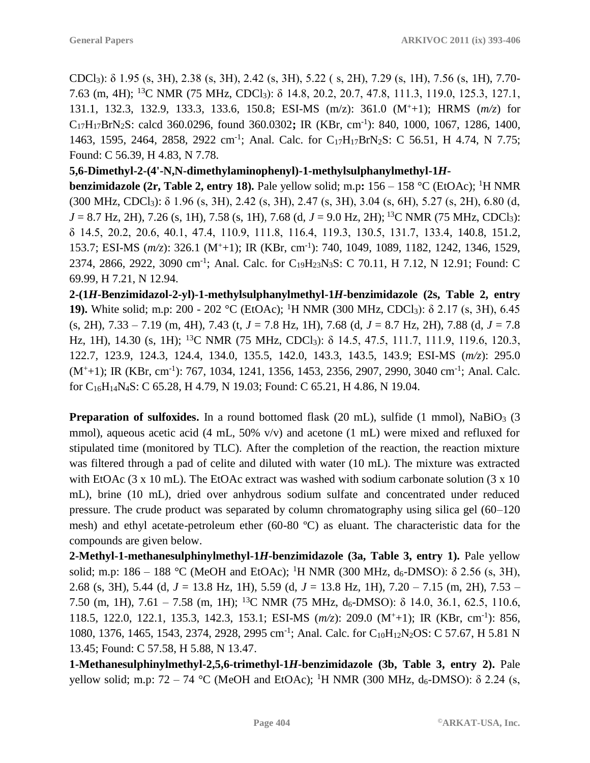CDCl3): δ 1.95 (s, 3H), 2.38 (s, 3H), 2.42 (s, 3H), 5.22 ( s, 2H), 7.29 (s, 1H), 7.56 (s, 1H), 7.70- 7.63 (m, 4H); <sup>13</sup>C NMR (75 MHz, CDCl3): δ 14.8, 20.2, 20.7, 47.8, 111.3, 119.0, 125.3, 127.1, 131.1, 132.3, 132.9, 133.3, 133.6, 150.8; ESI-MS (m/z): 361.0 (M<sup>+</sup>+1); HRMS (*m/z*) for C17H17BrN2S: calcd 360.0296, found 360.0302**;** IR (KBr, cm-1 ): 840, 1000, 1067, 1286, 1400, 1463, 1595, 2464, 2858, 2922 cm<sup>-1</sup>; Anal. Calc. for C<sub>17</sub>H<sub>17</sub>BrN<sub>2</sub>S: C 56.51, H 4.74, N 7.75; Found: C 56.39, H 4.83, N 7.78.

**5,6-Dimethyl-2-(4'-N,N-dimethylaminophenyl)-1-methylsulphanylmethyl-1***H***-**

**benzimidazole (2r, Table 2, entry 18).** Pale yellow solid; m.p**:** 156 – 158 °C (EtOAc); <sup>1</sup>H NMR (300 MHz, CDCl3): δ 1.96 (s, 3H), 2.42 (s, 3H), 2.47 (s, 3H), 3.04 (s, 6H), 5.27 (s, 2H), 6.80 (d, *J* = 8.7 Hz, 2H), 7.26 (s, 1H), 7.58 (s, 1H), 7.68 (d, *J* = 9.0 Hz, 2H); <sup>13</sup>C NMR (75 MHz, CDCl<sub>3</sub>): δ 14.5, 20.2, 20.6, 40.1, 47.4, 110.9, 111.8, 116.4, 119.3, 130.5, 131.7, 133.4, 140.8, 151.2, 153.7; ESI-MS (*m/z*): 326.1 (M<sup>+</sup>+1); IR (KBr, cm-1 ): 740, 1049, 1089, 1182, 1242, 1346, 1529, 2374, 2866, 2922, 3090 cm<sup>-1</sup>; Anal. Calc. for C<sub>19</sub>H<sub>23</sub>N<sub>3</sub>S: C 70.11, H 7.12, N 12.91; Found: C 69.99, H 7.21, N 12.94.

**2-(1***H***-Benzimidazol-2-yl)-1-methylsulphanylmethyl-1***H***-benzimidazole (2s, Table 2, entry 19).** White solid; m.p: 200 - 202 °C (EtOAc); <sup>1</sup>H NMR (300 MHz, CDCl<sub>3</sub>): δ 2.17 (s, 3H), 6.45 (s, 2H), 7.33 – 7.19 (m, 4H), 7.43 (t, *J* = 7.8 Hz, 1H), 7.68 (d, *J* = 8.7 Hz, 2H), 7.88 (d, *J* = 7.8 Hz, 1H), 14.30 (s, 1H); <sup>13</sup>C NMR (75 MHz, CDCl<sub>3</sub>): δ 14.5, 47.5, 111.7, 111.9, 119.6, 120.3, 122.7, 123.9, 124.3, 124.4, 134.0, 135.5, 142.0, 143.3, 143.5, 143.9; ESI-MS (*m/z*): 295.0  $(M^+ + 1)$ ; IR (KBr, cm<sup>-1</sup>): 767, 1034, 1241, 1356, 1453, 2356, 2907, 2990, 3040 cm<sup>-1</sup>; Anal. Calc. for C16H14N4S: C 65.28, H 4.79, N 19.03; Found: C 65.21, H 4.86, N 19.04.

**Preparation of sulfoxides.** In a round bottomed flask (20 mL), sulfide (1 mmol), NaBiO<sub>3</sub> (3 mmol), aqueous acetic acid (4 mL, 50% v/v) and acetone (1 mL) were mixed and refluxed for stipulated time (monitored by TLC). After the completion of the reaction, the reaction mixture was filtered through a pad of celite and diluted with water (10 mL). The mixture was extracted with EtOAc (3 x 10 mL). The EtOAc extract was washed with sodium carbonate solution (3 x 10) mL), brine (10 mL), dried over anhydrous sodium sulfate and concentrated under reduced pressure. The crude product was separated by column chromatography using silica gel (60–120 mesh) and ethyl acetate-petroleum ether (60-80 ºC) as eluant. The characteristic data for the compounds are given below.

**2-Methyl-1-methanesulphinylmethyl-1***H***-benzimidazole (3a, Table 3, entry 1).** Pale yellow solid; m.p: 186 – 188 °C (MeOH and EtOAc); <sup>1</sup>H NMR (300 MHz, d<sub>6</sub>-DMSO): δ 2.56 (s, 3H), 2.68 (s, 3H), 5.44 (d, *J* = 13.8 Hz, 1H), 5.59 (d, *J* = 13.8 Hz, 1H), 7.20 – 7.15 (m, 2H), 7.53 – 7.50 (m, 1H),  $7.61 - 7.58$  (m, 1H); <sup>13</sup>C NMR (75 MHz,  $d_6$ -DMSO):  $\delta$  14.0, 36.1, 62.5, 110.6, 118.5, 122.0, 122.1, 135.3, 142.3, 153.1; ESI-MS (*m/z*): 209.0 (M<sup>+</sup>+1); IR (KBr, cm-1 ): 856, 1080, 1376, 1465, 1543, 2374, 2928, 2995 cm<sup>-1</sup>; Anal. Calc. for C<sub>10</sub>H<sub>12</sub>N<sub>2</sub>OS: C 57.67, H 5.81 N 13.45; Found: C 57.58, H 5.88, N 13.47.

**1-Methanesulphinylmethyl-2,5,6-trimethyl-1***H***-benzimidazole (3b, Table 3, entry 2).** Pale yellow solid; m.p: 72 – 74 °C (MeOH and EtOAc); <sup>1</sup>H NMR (300 MHz,  $d_6$ -DMSO): δ 2.24 (s,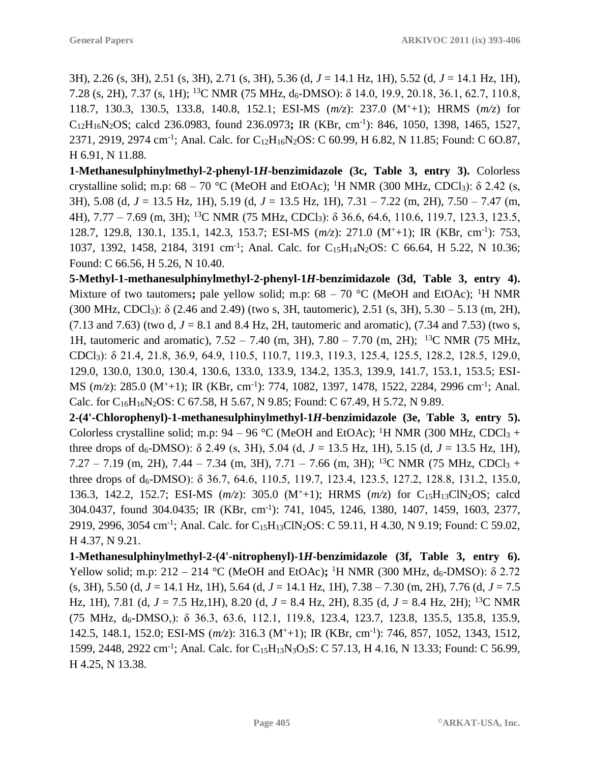3H), 2.26 (s, 3H), 2.51 (s, 3H), 2.71 (s, 3H), 5.36 (d, *J* = 14.1 Hz, 1H), 5.52 (d, *J* = 14.1 Hz, 1H), 7.28 (s, 2H), 7.37 (s, 1H); <sup>13</sup>C NMR (75 MHz, d6-DMSO): δ 14.0, 19.9, 20.18, 36.1, 62.7, 110.8, 118.7, 130.3, 130.5, 133.8, 140.8, 152.1; ESI-MS (*m/z*): 237.0 (M<sup>+</sup>+1); HRMS (*m/z*) for C12H16N2OS; calcd 236.0983, found 236.0973**;** IR (KBr, cm-1 ): 846, 1050, 1398, 1465, 1527, 2371, 2919, 2974 cm<sup>-1</sup>; Anal. Calc. for C<sub>12</sub>H<sub>16</sub>N<sub>2</sub>OS: C 60.99, H 6.82, N 11.85; Found: C 6O.87, H 6.91, N 11.88.

**1-Methanesulphinylmethyl-2-phenyl-1***H***-benzimidazole (3c, Table 3, entry 3).** Colorless crystalline solid; m.p:  $68 - 70$  °C (MeOH and EtOAc); <sup>1</sup>H NMR (300 MHz, CDCl<sub>3</sub>):  $\delta$  2.42 (s, 3H), 5.08 (d, *J* = 13.5 Hz, 1H), 5.19 (d, *J* = 13.5 Hz, 1H), 7.31 – 7.22 (m, 2H), 7.50 – 7.47 (m, 4H), 7.77 – 7.69 (m, 3H); <sup>13</sup>C NMR (75 MHz, CDCl3): δ 36.6, 64.6, 110.6, 119.7, 123.3, 123.5, 128.7, 129.8, 130.1, 135.1, 142.3, 153.7; ESI-MS (*m/z*): 271.0 (M<sup>+</sup>+1); IR (KBr, cm-1 ): 753, 1037, 1392, 1458, 2184, 3191 cm<sup>-1</sup>; Anal. Calc. for C<sub>15</sub>H<sub>14</sub>N<sub>2</sub>OS: C 66.64, H 5.22, N 10.36; Found: C 66.56, H 5.26, N 10.40.

**5-Methyl-1-methanesulphinylmethyl-2-phenyl-1***H***-benzimidazole (3d, Table 3, entry 4).** Mixture of two tautomers; pale yellow solid; m.p:  $68 - 70$  °C (MeOH and EtOAc); <sup>1</sup>H NMR (300 MHz, CDCl<sub>3</sub>):  $\delta$  (2.46 and 2.49) (two s, 3H, tautomeric), 2.51 (s, 3H), 5.30 – 5.13 (m, 2H), (7.13 and 7.63) (two d,  $J = 8.1$  and 8.4 Hz, 2H, tautomeric and aromatic), (7.34 and 7.53) (two s, 1H, tautomeric and aromatic), 7.52 – 7.40 (m, 3H), 7.80 – 7.70 (m, 2H); <sup>13</sup>C NMR (75 MHz, CDCl3): δ 21.4, 21.8, 36.9, 64.9, 110.5, 110.7, 119.3, 119.3, 125.4, 125.5, 128.2, 128.5, 129.0, 129.0, 130.0, 130.0, 130.4, 130.6, 133.0, 133.9, 134.2, 135.3, 139.9, 141.7, 153.1, 153.5; ESI-MS ( $m/z$ ): 285.0 (M<sup>+</sup>+1); IR (KBr, cm<sup>-1</sup>): 774, 1082, 1397, 1478, 1522, 2284, 2996 cm<sup>-1</sup>; Anal. Calc. for  $C_{16}H_{16}N_2OS$ : C 67.58, H 5.67, N 9.85; Found: C 67.49, H 5.72, N 9.89.

**2-(4'-Chlorophenyl)-1-methanesulphinylmethyl-1***H***-benzimidazole (3e, Table 3, entry 5).** Colorless crystalline solid; m.p:  $94 - 96$  °C (MeOH and EtOAc); <sup>1</sup>H NMR (300 MHz, CDCl<sub>3</sub> + three drops of  $d_6$ -DMSO):  $\delta$  2.49 (s, 3H), 5.04 (d,  $J = 13.5$  Hz, 1H), 5.15 (d,  $J = 13.5$  Hz, 1H), 7.27 – 7.19 (m, 2H), 7.44 – 7.34 (m, 3H), 7.71 – 7.66 (m, 3H); <sup>13</sup>C NMR (75 MHz, CDCl<sub>3</sub> + three drops of  $d_6$ -DMSO):  $\delta$  36.7, 64.6, 110.5, 119.7, 123.4, 123.5, 127.2, 128.8, 131.2, 135.0, 136.3, 142.2, 152.7; ESI-MS ( $m/z$ ): 305.0 (M<sup>+</sup>+1); HRMS ( $m/z$ ) for C<sub>15</sub>H<sub>13</sub>ClN<sub>2</sub>OS; calcd 304.0437, found 304.0435; IR (KBr, cm-1 ): 741, 1045, 1246, 1380, 1407, 1459, 1603, 2377, 2919, 2996, 3054 cm<sup>-1</sup>; Anal. Calc. for C<sub>15</sub>H<sub>13</sub>ClN<sub>2</sub>OS: C 59.11, H 4.30, N 9.19; Found: C 59.02, H 4.37, N 9.21.

**1-Methanesulphinylmethyl-2-(4'-nitrophenyl)-1***H***-benzimidazole (3f, Table 3, entry 6).** Yellow solid; m.p:  $212 - 214$  °C (MeOH and EtOAc); <sup>1</sup>H NMR (300 MHz,  $d_6$ -DMSO):  $\delta$  2.72 (s, 3H), 5.50 (d, *J* = 14.1 Hz, 1H), 5.64 (d, *J* = 14.1 Hz, 1H), 7.38 – 7.30 (m, 2H), 7.76 (d, *J* = 7.5 Hz, 1H), 7.81 (d, *J* = 7.5 Hz,1H), 8.20 (d, *J* = 8.4 Hz, 2H), 8.35 (d, *J* = 8.4 Hz, 2H); <sup>13</sup>C NMR (75 MHz, d6-DMSO,): δ 36.3, 63.6, 112.1, 119.8, 123.4, 123.7, 123.8, 135.5, 135.8, 135.9, 142.5, 148.1, 152.0; ESI-MS (*m/z*): 316.3 (M<sup>+</sup>+1); IR (KBr, cm-1 ): 746, 857, 1052, 1343, 1512, 1599, 2448, 2922 cm<sup>-1</sup>; Anal. Calc. for C<sub>15</sub>H<sub>13</sub>N<sub>3</sub>O<sub>3</sub>S: C 57.13, H 4.16, N 13.33; Found: C 56.99, H 4.25, N 13.38.